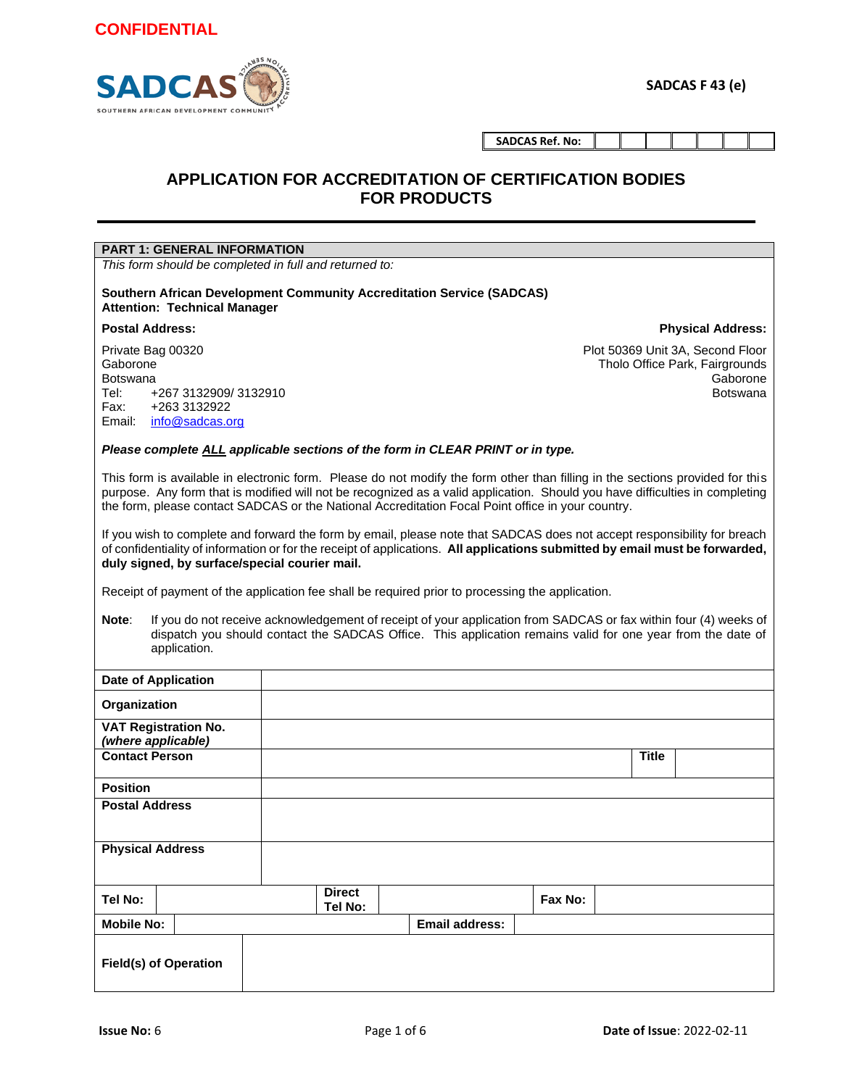

**SADCAS Ref. No:**

#### **APPLICATION FOR ACCREDITATION OF CERTIFICATION BODIES FOR PRODUCTS**

| <b>PART 1: GENERAL INFORMATION</b>                                                                                                                                                                                                                                                                                                                                 |                                                                                                                                                                                                                                                                                                           |                       |         |              |                                                                                                   |
|--------------------------------------------------------------------------------------------------------------------------------------------------------------------------------------------------------------------------------------------------------------------------------------------------------------------------------------------------------------------|-----------------------------------------------------------------------------------------------------------------------------------------------------------------------------------------------------------------------------------------------------------------------------------------------------------|-----------------------|---------|--------------|---------------------------------------------------------------------------------------------------|
| This form should be completed in full and returned to:                                                                                                                                                                                                                                                                                                             |                                                                                                                                                                                                                                                                                                           |                       |         |              |                                                                                                   |
| <b>Southern African Development Community Accreditation Service (SADCAS)</b><br><b>Attention: Technical Manager</b>                                                                                                                                                                                                                                                |                                                                                                                                                                                                                                                                                                           |                       |         |              |                                                                                                   |
| <b>Postal Address:</b>                                                                                                                                                                                                                                                                                                                                             |                                                                                                                                                                                                                                                                                                           |                       |         |              | <b>Physical Address:</b>                                                                          |
| Private Bag 00320<br>Gaborone<br><b>Botswana</b><br>Tel:<br>+267 3132909/3132910<br>+263 3132922<br>Fax:<br>Email:<br>info@sadcas.org                                                                                                                                                                                                                              |                                                                                                                                                                                                                                                                                                           |                       |         |              | Plot 50369 Unit 3A, Second Floor<br>Tholo Office Park, Fairgrounds<br>Gaborone<br><b>Botswana</b> |
| Please complete ALL applicable sections of the form in CLEAR PRINT or in type.                                                                                                                                                                                                                                                                                     |                                                                                                                                                                                                                                                                                                           |                       |         |              |                                                                                                   |
| This form is available in electronic form. Please do not modify the form other than filling in the sections provided for this<br>purpose. Any form that is modified will not be recognized as a valid application. Should you have difficulties in completing<br>the form, please contact SADCAS or the National Accreditation Focal Point office in your country. |                                                                                                                                                                                                                                                                                                           |                       |         |              |                                                                                                   |
| Receipt of payment of the application fee shall be required prior to processing the application.                                                                                                                                                                                                                                                                   | If you wish to complete and forward the form by email, please note that SADCAS does not accept responsibility for breach<br>of confidentiality of information or for the receipt of applications. All applications submitted by email must be forwarded,<br>duly signed, by surface/special courier mail. |                       |         |              |                                                                                                   |
| If you do not receive acknowledgement of receipt of your application from SADCAS or fax within four (4) weeks of<br>Note:<br>dispatch you should contact the SADCAS Office. This application remains valid for one year from the date of<br>application.                                                                                                           |                                                                                                                                                                                                                                                                                                           |                       |         |              |                                                                                                   |
| <b>Date of Application</b>                                                                                                                                                                                                                                                                                                                                         |                                                                                                                                                                                                                                                                                                           |                       |         |              |                                                                                                   |
| Organization                                                                                                                                                                                                                                                                                                                                                       |                                                                                                                                                                                                                                                                                                           |                       |         |              |                                                                                                   |
| <b>VAT Registration No.</b>                                                                                                                                                                                                                                                                                                                                        |                                                                                                                                                                                                                                                                                                           |                       |         |              |                                                                                                   |
| (where applicable)<br><b>Contact Person</b>                                                                                                                                                                                                                                                                                                                        |                                                                                                                                                                                                                                                                                                           |                       |         | <b>Title</b> |                                                                                                   |
| <b>Position</b>                                                                                                                                                                                                                                                                                                                                                    |                                                                                                                                                                                                                                                                                                           |                       |         |              |                                                                                                   |
| <b>Postal Address</b>                                                                                                                                                                                                                                                                                                                                              |                                                                                                                                                                                                                                                                                                           |                       |         |              |                                                                                                   |
| <b>Physical Address</b>                                                                                                                                                                                                                                                                                                                                            |                                                                                                                                                                                                                                                                                                           |                       |         |              |                                                                                                   |
| Tel No:                                                                                                                                                                                                                                                                                                                                                            | <b>Direct</b><br>Tel No:                                                                                                                                                                                                                                                                                  |                       | Fax No: |              |                                                                                                   |
| <b>Mobile No:</b>                                                                                                                                                                                                                                                                                                                                                  |                                                                                                                                                                                                                                                                                                           | <b>Email address:</b> |         |              |                                                                                                   |
| <b>Field(s) of Operation</b>                                                                                                                                                                                                                                                                                                                                       |                                                                                                                                                                                                                                                                                                           |                       |         |              |                                                                                                   |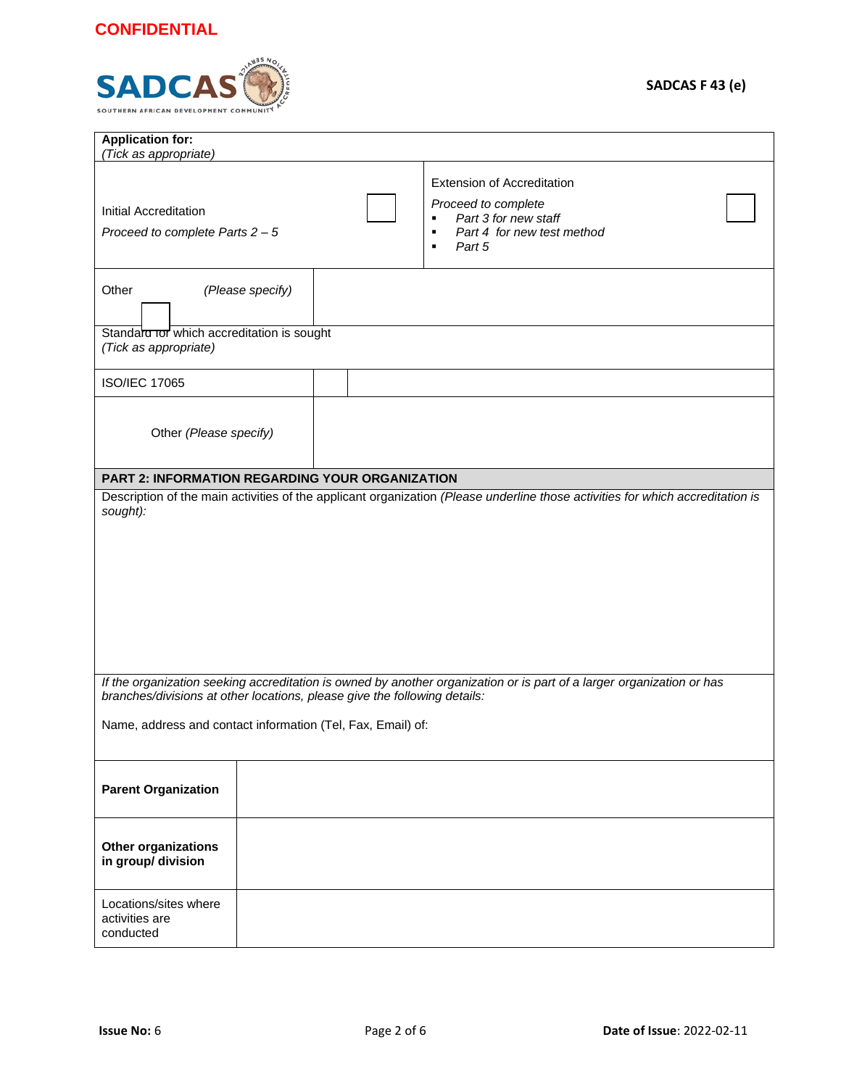

| <b>Application for:</b><br>(Tick as appropriate)                          |                                                                                                                                         |
|---------------------------------------------------------------------------|-----------------------------------------------------------------------------------------------------------------------------------------|
| Initial Accreditation<br>Proceed to complete Parts $2 - 5$                | <b>Extension of Accreditation</b><br>Proceed to complete<br>Part 3 for new staff<br>٠<br>Part 4 for new test method<br>٠<br>Part 5<br>٠ |
| Other<br>(Please specify)                                                 |                                                                                                                                         |
| Standard Tor which accreditation is sought<br>(Tick as appropriate)       |                                                                                                                                         |
| <b>ISO/IEC 17065</b>                                                      |                                                                                                                                         |
| Other (Please specify)                                                    |                                                                                                                                         |
| PART 2: INFORMATION REGARDING YOUR ORGANIZATION                           |                                                                                                                                         |
| sought):                                                                  | Description of the main activities of the applicant organization (Please underline those activities for which accreditation is          |
|                                                                           |                                                                                                                                         |
|                                                                           |                                                                                                                                         |
|                                                                           |                                                                                                                                         |
|                                                                           |                                                                                                                                         |
|                                                                           |                                                                                                                                         |
| branches/divisions at other locations, please give the following details: | If the organization seeking accreditation is owned by another organization or is part of a larger organization or has                   |
| Name, address and contact information (Tel, Fax, Email) of:               |                                                                                                                                         |
|                                                                           |                                                                                                                                         |
|                                                                           |                                                                                                                                         |
| <b>Parent Organization</b>                                                |                                                                                                                                         |
| <b>Other organizations</b><br>in group/ division                          |                                                                                                                                         |
| Locations/sites where<br>activities are<br>conducted                      |                                                                                                                                         |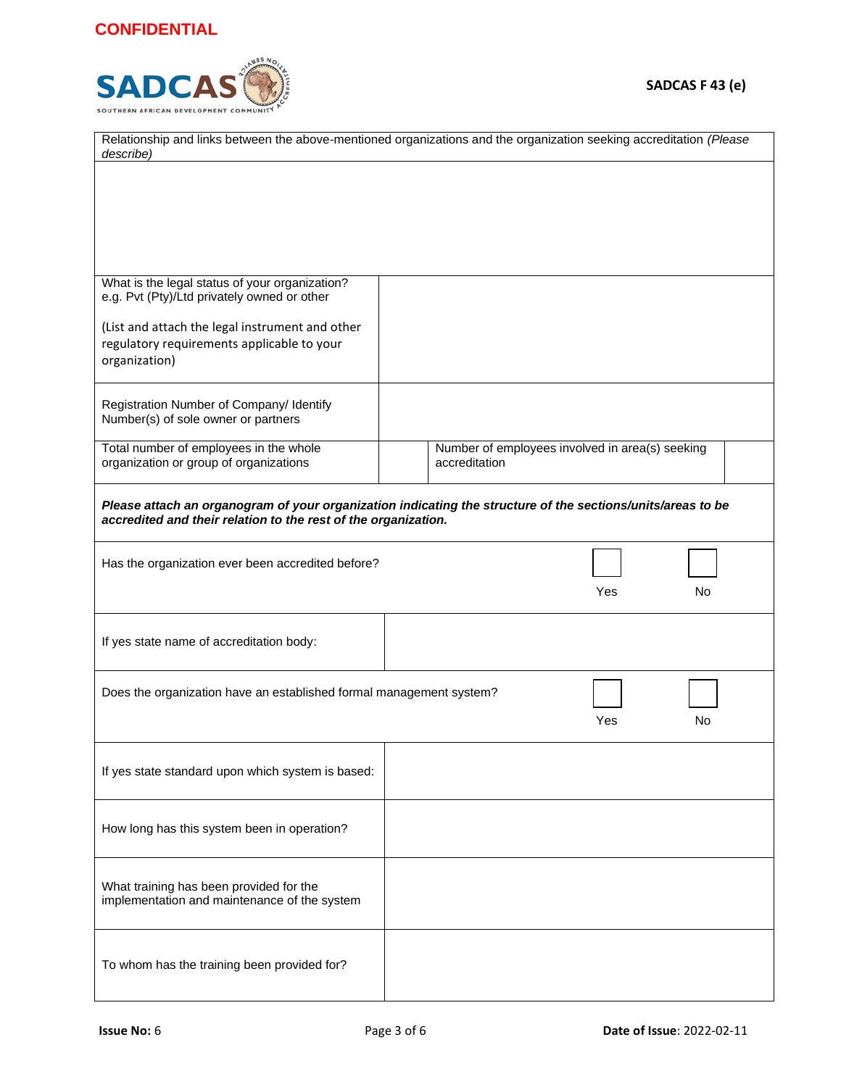

| Relationship and links between the above-mentioned organizations and the organization seeking accreditation (Please<br>describe) |                                                                                                             |  |  |  |
|----------------------------------------------------------------------------------------------------------------------------------|-------------------------------------------------------------------------------------------------------------|--|--|--|
|                                                                                                                                  |                                                                                                             |  |  |  |
|                                                                                                                                  |                                                                                                             |  |  |  |
|                                                                                                                                  |                                                                                                             |  |  |  |
|                                                                                                                                  |                                                                                                             |  |  |  |
| What is the legal status of your organization?                                                                                   |                                                                                                             |  |  |  |
| e.g. Pvt (Pty)/Ltd privately owned or other                                                                                      |                                                                                                             |  |  |  |
| (List and attach the legal instrument and other                                                                                  |                                                                                                             |  |  |  |
| regulatory requirements applicable to your<br>organization)                                                                      |                                                                                                             |  |  |  |
|                                                                                                                                  |                                                                                                             |  |  |  |
| Registration Number of Company/ Identify                                                                                         |                                                                                                             |  |  |  |
| Number(s) of sole owner or partners                                                                                              |                                                                                                             |  |  |  |
| Total number of employees in the whole<br>organization or group of organizations                                                 | Number of employees involved in area(s) seeking<br>accreditation                                            |  |  |  |
|                                                                                                                                  |                                                                                                             |  |  |  |
| accredited and their relation to the rest of the organization.                                                                   | Please attach an organogram of your organization indicating the structure of the sections/units/areas to be |  |  |  |
|                                                                                                                                  |                                                                                                             |  |  |  |
| Has the organization ever been accredited before?                                                                                |                                                                                                             |  |  |  |
|                                                                                                                                  | Yes<br><b>No</b>                                                                                            |  |  |  |
|                                                                                                                                  |                                                                                                             |  |  |  |
| If yes state name of accreditation body:                                                                                         |                                                                                                             |  |  |  |
|                                                                                                                                  |                                                                                                             |  |  |  |
| Does the organization have an established formal management system?                                                              |                                                                                                             |  |  |  |
|                                                                                                                                  | Yes<br>No                                                                                                   |  |  |  |
|                                                                                                                                  |                                                                                                             |  |  |  |
| If yes state standard upon which system is based:                                                                                |                                                                                                             |  |  |  |
|                                                                                                                                  |                                                                                                             |  |  |  |
| How long has this system been in operation?                                                                                      |                                                                                                             |  |  |  |
|                                                                                                                                  |                                                                                                             |  |  |  |
|                                                                                                                                  |                                                                                                             |  |  |  |
| What training has been provided for the<br>implementation and maintenance of the system                                          |                                                                                                             |  |  |  |
|                                                                                                                                  |                                                                                                             |  |  |  |
|                                                                                                                                  |                                                                                                             |  |  |  |
| To whom has the training been provided for?                                                                                      |                                                                                                             |  |  |  |
|                                                                                                                                  |                                                                                                             |  |  |  |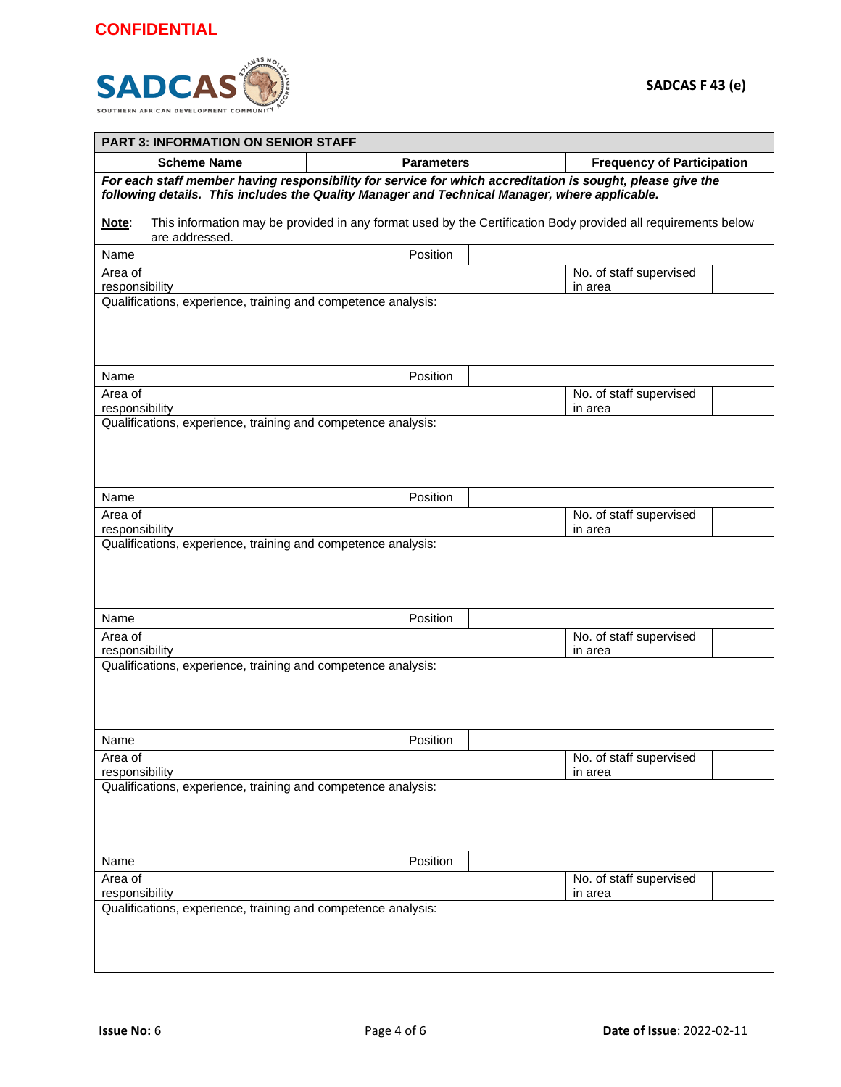

|                                                                                                                                                                                                             | <b>PART 3: INFORMATION ON SENIOR STAFF</b>                                                                    |                                    |  |  |  |
|-------------------------------------------------------------------------------------------------------------------------------------------------------------------------------------------------------------|---------------------------------------------------------------------------------------------------------------|------------------------------------|--|--|--|
| <b>Scheme Name</b>                                                                                                                                                                                          | <b>Parameters</b>                                                                                             | <b>Frequency of Participation</b>  |  |  |  |
| For each staff member having responsibility for service for which accreditation is sought, please give the<br>following details. This includes the Quality Manager and Technical Manager, where applicable. |                                                                                                               |                                    |  |  |  |
| Note:<br>are addressed.                                                                                                                                                                                     | This information may be provided in any format used by the Certification Body provided all requirements below |                                    |  |  |  |
| Name                                                                                                                                                                                                        | Position                                                                                                      |                                    |  |  |  |
| Area of                                                                                                                                                                                                     |                                                                                                               | No. of staff supervised            |  |  |  |
| responsibility                                                                                                                                                                                              | Qualifications, experience, training and competence analysis:                                                 | in area                            |  |  |  |
|                                                                                                                                                                                                             |                                                                                                               |                                    |  |  |  |
| Name                                                                                                                                                                                                        | Position                                                                                                      |                                    |  |  |  |
| Area of<br>responsibility                                                                                                                                                                                   |                                                                                                               | No. of staff supervised<br>in area |  |  |  |
|                                                                                                                                                                                                             | Qualifications, experience, training and competence analysis:                                                 |                                    |  |  |  |
|                                                                                                                                                                                                             |                                                                                                               |                                    |  |  |  |
| Name                                                                                                                                                                                                        | Position                                                                                                      |                                    |  |  |  |
| Area of                                                                                                                                                                                                     |                                                                                                               | No. of staff supervised            |  |  |  |
| responsibility                                                                                                                                                                                              | Qualifications, experience, training and competence analysis:                                                 | in area                            |  |  |  |
|                                                                                                                                                                                                             |                                                                                                               |                                    |  |  |  |
| Name                                                                                                                                                                                                        | Position                                                                                                      |                                    |  |  |  |
| Area of                                                                                                                                                                                                     |                                                                                                               | No. of staff supervised            |  |  |  |
| responsibility                                                                                                                                                                                              |                                                                                                               | in area                            |  |  |  |
|                                                                                                                                                                                                             | Qualifications, experience, training and competence analysis:                                                 |                                    |  |  |  |
| Name                                                                                                                                                                                                        | Position                                                                                                      |                                    |  |  |  |
| Area of<br>responsibility                                                                                                                                                                                   |                                                                                                               | No. of staff supervised<br>in area |  |  |  |
|                                                                                                                                                                                                             | Qualifications, experience, training and competence analysis:                                                 |                                    |  |  |  |
|                                                                                                                                                                                                             |                                                                                                               |                                    |  |  |  |
| Name                                                                                                                                                                                                        | Position                                                                                                      |                                    |  |  |  |
| Area of<br>responsibility                                                                                                                                                                                   |                                                                                                               | No. of staff supervised<br>in area |  |  |  |
|                                                                                                                                                                                                             | Qualifications, experience, training and competence analysis:                                                 |                                    |  |  |  |
|                                                                                                                                                                                                             |                                                                                                               |                                    |  |  |  |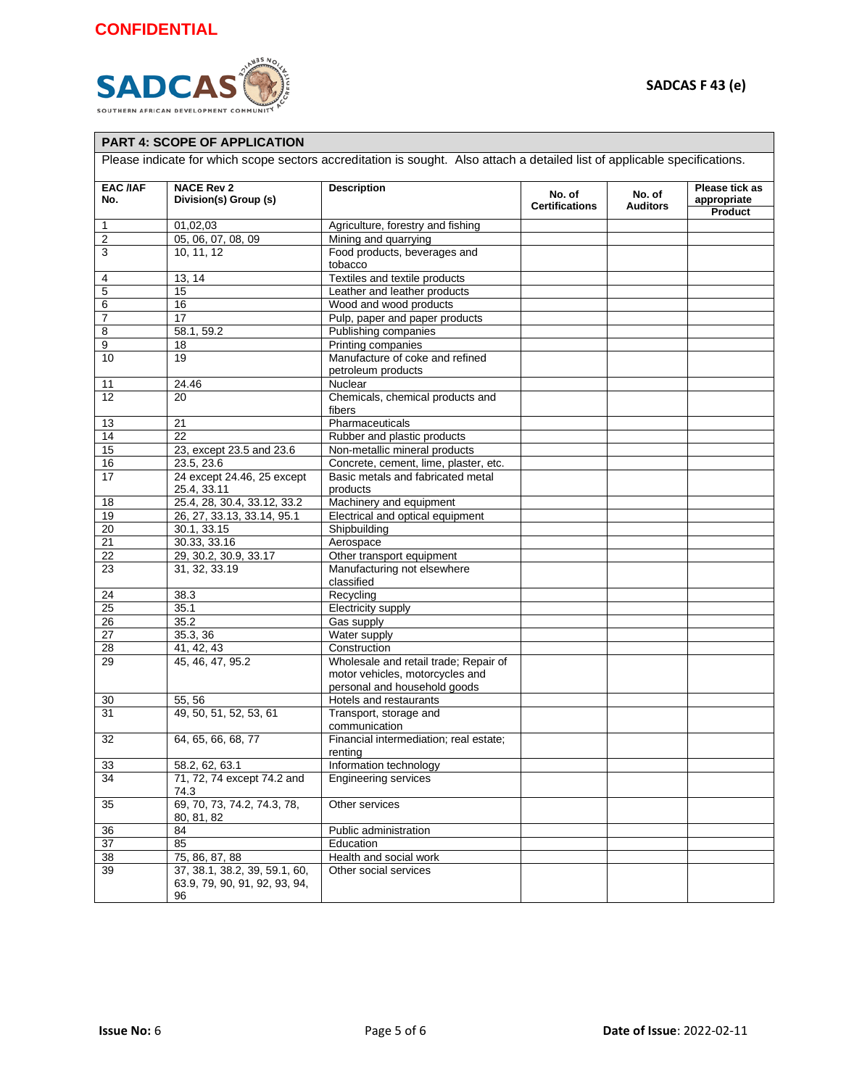

#### **PART 4: SCOPE OF APPLICATION**

Please indicate for which scope sectors accreditation is sought. Also attach a detailed list of applicable specifications.

| <b>EAC /IAF</b><br>No. | <b>NACE Rev 2</b><br>Division(s) Group (s)                           | <b>Description</b>                                | No. of<br><b>Certifications</b> | No. of<br><b>Auditors</b> | Please tick as<br>appropriate |
|------------------------|----------------------------------------------------------------------|---------------------------------------------------|---------------------------------|---------------------------|-------------------------------|
|                        |                                                                      |                                                   |                                 |                           | Product                       |
| 1                      | 01,02,03                                                             | Agriculture, forestry and fishing                 |                                 |                           |                               |
| $\overline{2}$         | 05, 06, 07, 08, 09                                                   | Mining and quarrying                              |                                 |                           |                               |
| 3                      | 10, 11, 12                                                           | Food products, beverages and<br>tobacco           |                                 |                           |                               |
| 4                      | 13, 14                                                               | Textiles and textile products                     |                                 |                           |                               |
| 5                      | 15                                                                   | Leather and leather products                      |                                 |                           |                               |
| 6                      | 16                                                                   | Wood and wood products                            |                                 |                           |                               |
| $\overline{7}$         | 17                                                                   | Pulp, paper and paper products                    |                                 |                           |                               |
| 8                      | 58.1, 59.2                                                           | Publishing companies                              |                                 |                           |                               |
| 9                      | 18                                                                   | Printing companies                                |                                 |                           |                               |
| 10                     | $\overline{19}$                                                      | Manufacture of coke and refined                   |                                 |                           |                               |
|                        |                                                                      | petroleum products                                |                                 |                           |                               |
| 11                     | 24.46                                                                | Nuclear                                           |                                 |                           |                               |
| 12                     | 20                                                                   | Chemicals, chemical products and<br>fibers        |                                 |                           |                               |
| 13                     | 21                                                                   | Pharmaceuticals                                   |                                 |                           |                               |
| 14                     | 22                                                                   | Rubber and plastic products                       |                                 |                           |                               |
| 15                     | 23, except 23.5 and 23.6                                             | Non-metallic mineral products                     |                                 |                           |                               |
| 16                     | 23.5, 23.6                                                           | Concrete, cement, lime, plaster, etc.             |                                 |                           |                               |
| 17                     | 24 except 24.46, 25 except<br>25.4, 33.11                            | Basic metals and fabricated metal<br>products     |                                 |                           |                               |
| 18                     | 25.4, 28, 30.4, 33.12, 33.2                                          | Machinery and equipment                           |                                 |                           |                               |
| 19                     | 26, 27, 33.13, 33.14, 95.1                                           | Electrical and optical equipment                  |                                 |                           |                               |
| 20                     | 30.1, 33.15                                                          | Shipbuilding                                      |                                 |                           |                               |
| $\overline{21}$        | 30.33, 33.16                                                         | Aerospace                                         |                                 |                           |                               |
| $\overline{22}$        | 29, 30.2, 30.9, 33.17                                                | Other transport equipment                         |                                 |                           |                               |
| 23                     | 31, 32, 33.19                                                        | Manufacturing not elsewhere<br>classified         |                                 |                           |                               |
| 24                     | 38.3                                                                 | Recycling                                         |                                 |                           |                               |
| $\overline{25}$        | 35.1                                                                 | Electricity supply                                |                                 |                           |                               |
| $\overline{26}$        | 35.2                                                                 | Gas supply                                        |                                 |                           |                               |
| 27                     | 35.3, 36                                                             | Water supply                                      |                                 |                           |                               |
| 28                     | 41, 42, 43                                                           | Construction                                      |                                 |                           |                               |
| 29                     | 45, 46, 47, 95.2                                                     | Wholesale and retail trade; Repair of             |                                 |                           |                               |
|                        |                                                                      | motor vehicles, motorcycles and                   |                                 |                           |                               |
|                        |                                                                      | personal and household goods                      |                                 |                           |                               |
| 30                     | 55, 56                                                               | Hotels and restaurants                            |                                 |                           |                               |
| 31                     | 49, 50, 51, 52, 53, 61                                               | Transport, storage and<br>communication           |                                 |                           |                               |
| 32                     | 64, 65, 66, 68, 77                                                   | Financial intermediation; real estate;<br>renting |                                 |                           |                               |
| 33                     | 58.2, 62, 63.1                                                       | Information technology                            |                                 |                           |                               |
| 34                     | 71, 72, 74 except 74.2 and<br>74.3                                   | <b>Engineering services</b>                       |                                 |                           |                               |
| 35                     | 69, 70, 73, 74.2, 74.3, 78,<br>80, 81, 82                            | Other services                                    |                                 |                           |                               |
| 36                     | 84                                                                   | Public administration                             |                                 |                           |                               |
| 37                     | 85                                                                   | Education                                         |                                 |                           |                               |
| 38                     | 75, 86, 87, 88                                                       | Health and social work                            |                                 |                           |                               |
| 39                     | 37, 38.1, 38.2, 39, 59.1, 60,<br>63.9, 79, 90, 91, 92, 93, 94,<br>96 | Other social services                             |                                 |                           |                               |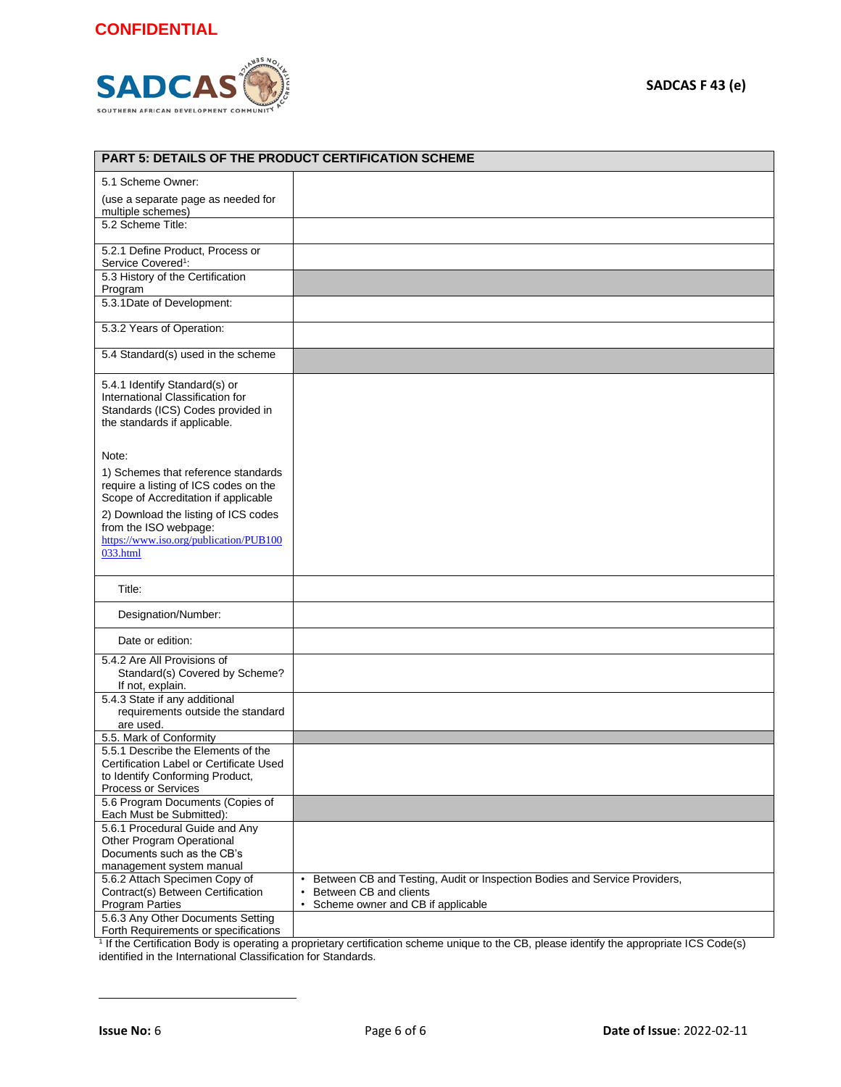

| PART 5: DETAILS OF THE PRODUCT CERTIFICATION SCHEME                                                                                     |                                                                                                                                                       |  |  |  |
|-----------------------------------------------------------------------------------------------------------------------------------------|-------------------------------------------------------------------------------------------------------------------------------------------------------|--|--|--|
| 5.1 Scheme Owner:                                                                                                                       |                                                                                                                                                       |  |  |  |
| (use a separate page as needed for<br>multiple schemes)                                                                                 |                                                                                                                                                       |  |  |  |
| 5.2 Scheme Title:                                                                                                                       |                                                                                                                                                       |  |  |  |
| 5.2.1 Define Product, Process or<br>Service Covered <sup>1</sup> :                                                                      |                                                                                                                                                       |  |  |  |
| 5.3 History of the Certification<br>Program                                                                                             |                                                                                                                                                       |  |  |  |
| 5.3.1Date of Development:                                                                                                               |                                                                                                                                                       |  |  |  |
| 5.3.2 Years of Operation:                                                                                                               |                                                                                                                                                       |  |  |  |
| 5.4 Standard(s) used in the scheme                                                                                                      |                                                                                                                                                       |  |  |  |
| 5.4.1 Identify Standard(s) or<br>International Classification for<br>Standards (ICS) Codes provided in<br>the standards if applicable.  |                                                                                                                                                       |  |  |  |
| Note:                                                                                                                                   |                                                                                                                                                       |  |  |  |
| 1) Schemes that reference standards<br>require a listing of ICS codes on the<br>Scope of Accreditation if applicable                    |                                                                                                                                                       |  |  |  |
| 2) Download the listing of ICS codes<br>from the ISO webpage:<br>https://www.iso.org/publication/PUB100<br>033.html                     |                                                                                                                                                       |  |  |  |
| Title:                                                                                                                                  |                                                                                                                                                       |  |  |  |
| Designation/Number:                                                                                                                     |                                                                                                                                                       |  |  |  |
| Date or edition:                                                                                                                        |                                                                                                                                                       |  |  |  |
| 5.4.2 Are All Provisions of<br>Standard(s) Covered by Scheme?<br>If not, explain.                                                       |                                                                                                                                                       |  |  |  |
| 5.4.3 State if any additional<br>requirements outside the standard<br>are used.                                                         |                                                                                                                                                       |  |  |  |
| 5.5. Mark of Conformity                                                                                                                 |                                                                                                                                                       |  |  |  |
| 5.5.1 Describe the Elements of the<br>Certification Label or Certificate Used<br>to Identify Conforming Product,<br>Process or Services |                                                                                                                                                       |  |  |  |
| 5.6 Program Documents (Copies of<br>Each Must be Submitted):                                                                            |                                                                                                                                                       |  |  |  |
| 5.6.1 Procedural Guide and Any<br>Other Program Operational<br>Documents such as the CB's<br>management system manual                   |                                                                                                                                                       |  |  |  |
| 5.6.2 Attach Specimen Copy of<br>Contract(s) Between Certification<br><b>Program Parties</b><br>5.6.3 Any Other Documents Setting       | Between CB and Testing, Audit or Inspection Bodies and Service Providers,<br>Between CB and clients<br>$\bullet$<br>Scheme owner and CB if applicable |  |  |  |
| Forth Requirements or specifications                                                                                                    |                                                                                                                                                       |  |  |  |

Forth Requirements or specifications |<br><sup>1</sup> If the Certification Body is operating a proprietary certification scheme unique to the CB, please identify the appropriate ICS Code(s) identified in the International Classification for Standards.